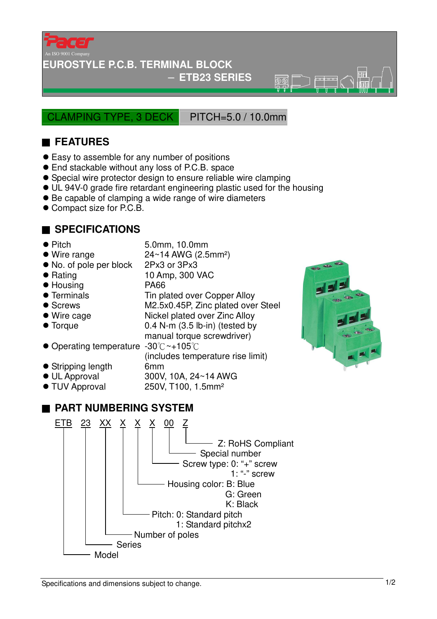

#### **EUROSTYLE P.C.B. TERMINAL BLOCK**

## − **ETB23 SERIES**

 $\overline{\mathcal{B}(\mathbb{C})}$ 

CLAMPING TYPE, 3 DECK PITCH=5.0 / 10.0mm

# ■ **FEATURES**

- Easy to assemble for any number of positions
- End stackable without any loss of P.C.B. space
- Special wire protector design to ensure reliable wire clamping
- UL 94V-0 grade fire retardant engineering plastic used for the housing
- Be capable of clamping a wide range of wire diameters
- Compact size for P.C.B.

### ■ **SPECIFICATIONS**

- 
- Pitch 5.0mm, 10.0mm

manual torque screwdriver)

250V, T100, 1.5mm<sup>2</sup>

(includes temperature rise limit)

- $\bullet$  Wire range  $24~14$  AWG (2.5mm<sup>2</sup>)
- No. of pole per block 2Px3 or 3Px3
- Rating 10 Amp, 300 VAC
- Housing PA66
- Terminals Tin plated over Copper Alloy
- Screws M2.5x0.45P, Zinc plated over Steel
- Wire cage Nickel plated over Zinc Alloy
- Torque 0.4 N-m (3.5 lb-in) (tested by
- Operating temperature -30°C~+105°C
- Stripping length 6mm
- 
- UL Approval 300V, 10A, 24~14 AWG<br>● TUV Approval 250V, T100, 1.5mm<sup>2</sup>